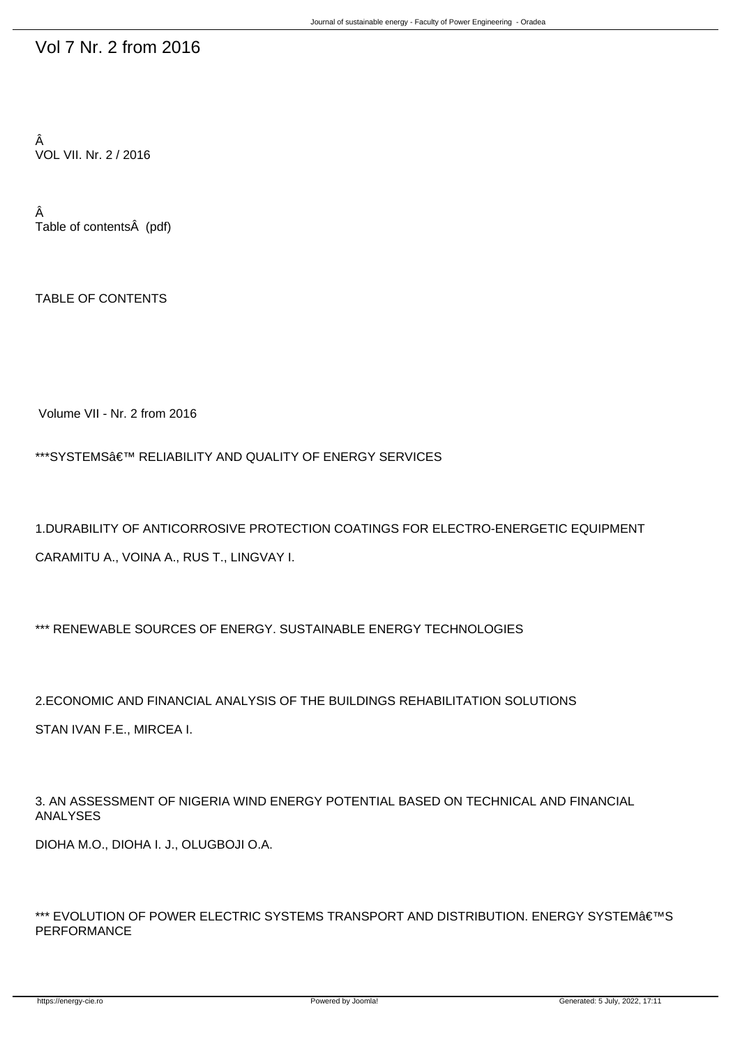## Vol 7 Nr. 2 from 2016

Â VOL VII. Nr. 2 / 2016

Â Table of contents (pdf)

TABLE OF CONTENTS

Volume VII - Nr. 2 from 2016

\*\*\*SYSTEMS $\hat{a} \in \mathbb{N}$  RELIABILITY AND QUALITY OF ENERGY SERVICES

1.DURABILITY OF ANTICORROSIVE PROTECTION COATINGS FOR ELECTRO-ENERGETIC EQUIPMENT CARAMITU A., VOINA A., RUS T., LINGVAY I.

\*\*\* RENEWABLE SOURCES OF ENERGY. SUSTAINABLE ENERGY TECHNOLOGIES

2.ECONOMIC AND FINANCIAL ANALYSIS OF THE BUILDINGS REHABILITATION SOLUTIONS

STAN IVAN F.E., MIRCEA I.

3. AN ASSESSMENT OF NIGERIA WIND ENERGY POTENTIAL BASED ON TECHNICAL AND FINANCIAL ANALYSES

DIOHA M.O., DIOHA I. J., OLUGBOJI O.A.

\*\*\* EVOLUTION OF POWER ELECTRIC SYSTEMS TRANSPORT AND DISTRIBUTION. ENERGY SYSTEM€™S PERFORMANCE